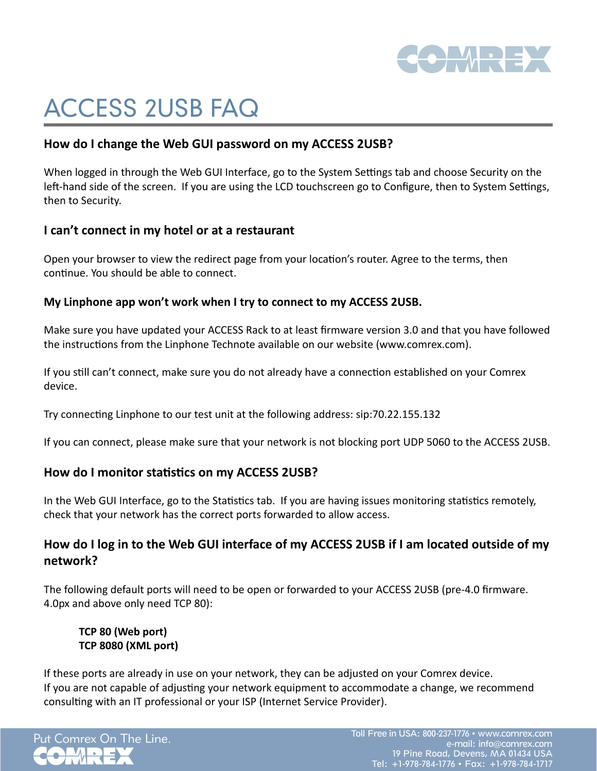

# ACCESS 2USB FAQ

## **How do I change the Web GUI password on my ACCESS 2USB?**

When logged in through the Web GUI Interface, go to the System Settings tab and choose Security on the left-hand side of the screen. If you are using the LCD touchscreen go to Configure, then to System Settings, then to Security.

#### **I can't connect in my hotel or at a restaurant**

Open your browser to view the redirect page from your location's router. Agree to the terms, then continue. You should be able to connect.

#### **My Linphone app won't work when I try to connect to my ACCESS 2USB.**

Make sure you have updated your ACCESS Rack to at least firmware version 3.0 and that you have followed the instructions from the Linphone Technote available on our website (www.comrex.com).

If you still can't connect, make sure you do not already have a connection established on your Comrex device.

Try connecting Linphone to our test unit at the following address: sip:70.22.155.132

If you can connect, please make sure that your network is not blocking port UDP 5060 to the ACCESS 2USB.

## **How do I monitor statistics on my ACCESS 2USB?**

In the Web GUI Interface, go to the Statistics tab. If you are having issues monitoring statistics remotely, check that your network has the correct ports forwarded to allow access.

# **How do I log in to the Web GUI interface of my ACCESS 2USB if I am located outside of my network?**

The following default ports will need to be open or forwarded to your ACCESS 2USB (pre-4.0 firmware. 4.0px and above only need TCP 80):

**TCP 80 (Web port) TCP 8080 (XML port)**

If these ports are already in use on your network, they can be adjusted on your Comrex device. If you are not capable of adjusting your network equipment to accommodate a change, we recommend consulting with an IT professional or your ISP (Internet Service Provider).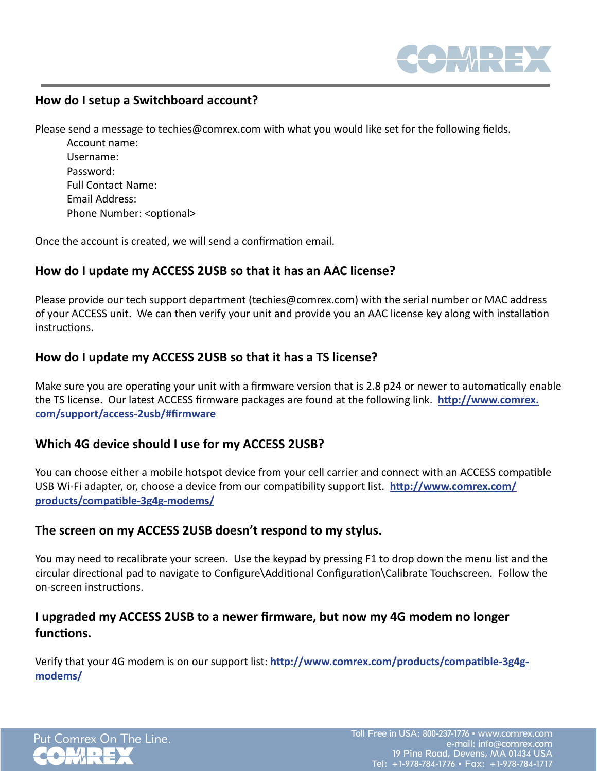

## **How do I setup a Switchboard account?**

Please send a message to techies@comrex.com with what you would like set for the following fields.

 Account name: Username: Password: Full Contact Name: Email Address: Phone Number: <optional>

Once the account is created, we will send a confirmation email.

#### **How do I update my ACCESS 2USB so that it has an AAC license?**

Please provide our tech support department (techies@comrex.com) with the serial number or MAC address of your ACCESS unit. We can then verify your unit and provide you an AAC license key along with installation instructions.

#### **How do I update my ACCESS 2USB so that it has a TS license?**

Make sure you are operating your unit with a firmware version that is 2.8 p24 or newer to automatically enable the TS license. Our latest ACCESS firmware packages are found at the following link. **[http://www.comrex.](http://www.comrex.com/support/access-2usb/%23firmware%0D) [com/support/access-2usb/#firmware](http://www.comrex.com/support/access-2usb/%23firmware%0D)**

#### **Which 4G device should I use for my ACCESS 2USB?**

You can choose either a mobile hotspot device from your cell carrier and connect with an ACCESS compatible USB Wi-Fi adapter, or, choose a device from our compatibility support list. **[http://www.comrex.com/](http://www.comrex.com/products/compatible-3g4g-modems/) [products/compatible-3g4g-modems/](http://www.comrex.com/products/compatible-3g4g-modems/)**

#### **The screen on my ACCESS 2USB doesn't respond to my stylus.**

You may need to recalibrate your screen. Use the keypad by pressing F1 to drop down the menu list and the circular directional pad to navigate to Configure\Additional Configuration\Calibrate Touchscreen. Follow the on-screen instructions.

# **I upgraded my ACCESS 2USB to a newer firmware, but now my 4G modem no longer functions.**

Verify that your 4G modem is on our support list: **[http://www.comrex.com/products/compatible-3g4g](http://www.comrex.com/products/compatible-3g4g-modems/)[modems/](http://www.comrex.com/products/compatible-3g4g-modems/)**